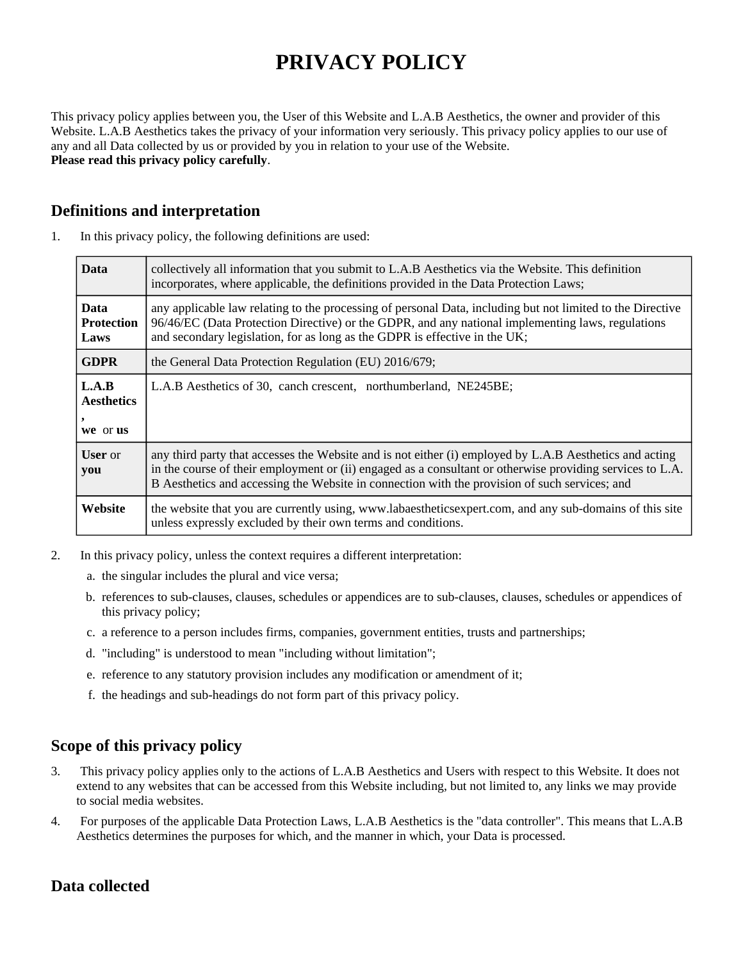# **PRIVACY POLICY**

This privacy policy applies between you, the User of this Website and L.A.B Aesthetics, the owner and provider of this Website. L.A.B Aesthetics takes the privacy of your information very seriously. This privacy policy applies to our use of any and all Data collected by us or provided by you in relation to your use of the Website. **Please read this privacy policy carefully**.

#### **Definitions and interpretation**

| <b>Data</b>                              | collectively all information that you submit to L.A.B Aesthetics via the Website. This definition<br>incorporates, where applicable, the definitions provided in the Data Protection Laws;                                                                                                                            |
|------------------------------------------|-----------------------------------------------------------------------------------------------------------------------------------------------------------------------------------------------------------------------------------------------------------------------------------------------------------------------|
| <b>Data</b><br><b>Protection</b><br>Laws | any applicable law relating to the processing of personal Data, including but not limited to the Directive<br>96/46/EC (Data Protection Directive) or the GDPR, and any national implementing laws, regulations<br>and secondary legislation, for as long as the GDPR is effective in the UK;                         |
| <b>GDPR</b>                              | the General Data Protection Regulation (EU) 2016/679;                                                                                                                                                                                                                                                                 |
| L.A.B<br><b>Aesthetics</b>               | L.A.B Aesthetics of 30, canch crescent, northumberland, NE245BE;                                                                                                                                                                                                                                                      |
| we or us                                 |                                                                                                                                                                                                                                                                                                                       |
| <b>User</b> or<br>you                    | any third party that accesses the Website and is not either (i) employed by L.A.B Aesthetics and acting<br>in the course of their employment or (ii) engaged as a consultant or otherwise providing services to L.A.<br>B Aesthetics and accessing the Website in connection with the provision of such services; and |
| Website                                  | the website that you are currently using, www.labaestheticsexpert.com, and any sub-domains of this site<br>unless expressly excluded by their own terms and conditions.                                                                                                                                               |

1. In this privacy policy, the following definitions are used:

- 2. In this privacy policy, unless the context requires a different interpretation:
	- a. the singular includes the plural and vice versa;
	- b. references to sub-clauses, clauses, schedules or appendices are to sub-clauses, clauses, schedules or appendices of this privacy policy;
	- c. a reference to a person includes firms, companies, government entities, trusts and partnerships;
	- d. "including" is understood to mean "including without limitation";
	- e. reference to any statutory provision includes any modification or amendment of it;
	- f. the headings and sub-headings do not form part of this privacy policy.

# **Scope of this privacy policy**

- 3. This privacy policy applies only to the actions of L.A.B Aesthetics and Users with respect to this Website. It does not extend to any websites that can be accessed from this Website including, but not limited to, any links we may provide to social media websites.
- 4. For purposes of the applicable Data Protection Laws, L.A.B Aesthetics is the "data controller". This means that L.A.B Aesthetics determines the purposes for which, and the manner in which, your Data is processed.

#### **Data collected**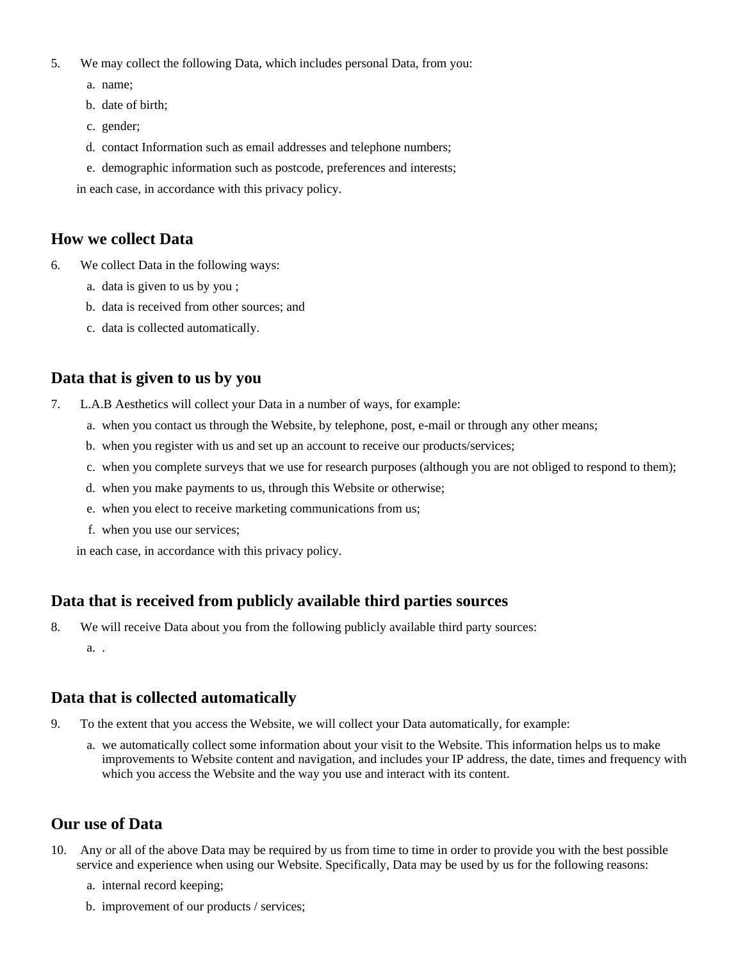- 5. We may collect the following Data, which includes personal Data, from you:
	- a. name;
	- b. date of birth;
	- c. gender;
	- d. contact Information such as email addresses and telephone numbers;
	- e. demographic information such as postcode, preferences and interests;

in each case, in accordance with this privacy policy.

#### **How we collect Data**

- 6. We collect Data in the following ways:
	- a. data is given to us by you ;
	- b. data is received from other sources; and
	- c. data is collected automatically.

#### **Data that is given to us by you**

- 7. L.A.B Aesthetics will collect your Data in a number of ways, for example:
	- a. when you contact us through the Website, by telephone, post, e-mail or through any other means;
	- b. when you register with us and set up an account to receive our products/services;
	- c. when you complete surveys that we use for research purposes (although you are not obliged to respond to them);
	- d. when you make payments to us, through this Website or otherwise;
	- e. when you elect to receive marketing communications from us;
	- f. when you use our services;
	- in each case, in accordance with this privacy policy.

# **Data that is received from publicly available third parties sources**

- 8. We will receive Data about you from the following publicly available third party sources:
	- a. .

#### **Data that is collected automatically**

- 9. To the extent that you access the Website, we will collect your Data automatically, for example:
	- a. we automatically collect some information about your visit to the Website. This information helps us to make improvements to Website content and navigation, and includes your IP address, the date, times and frequency with which you access the Website and the way you use and interact with its content.

#### **Our use of Data**

- 10. Any or all of the above Data may be required by us from time to time in order to provide you with the best possible service and experience when using our Website. Specifically, Data may be used by us for the following reasons:
	- a. internal record keeping;
	- b. improvement of our products / services;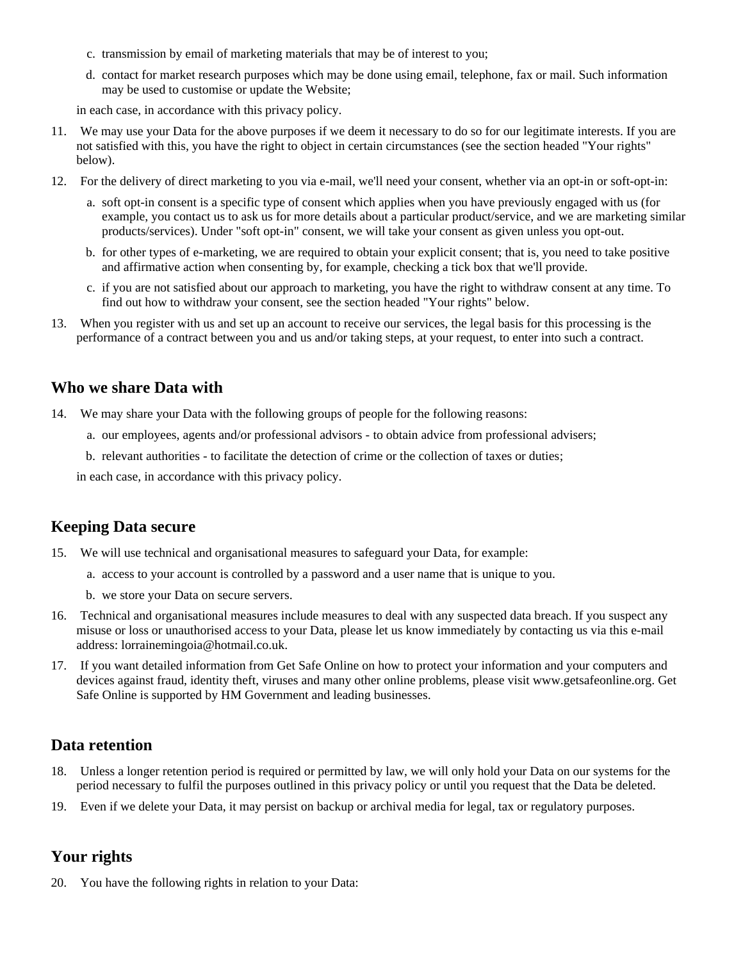- c. transmission by email of marketing materials that may be of interest to you;
- d. contact for market research purposes which may be done using email, telephone, fax or mail. Such information may be used to customise or update the Website;

in each case, in accordance with this privacy policy.

- 11. We may use your Data for the above purposes if we deem it necessary to do so for our legitimate interests. If you are not satisfied with this, you have the right to object in certain circumstances (see the section headed "Your rights" below).
- 12. For the delivery of direct marketing to you via e-mail, we'll need your consent, whether via an opt-in or soft-opt-in:
	- a. soft opt-in consent is a specific type of consent which applies when you have previously engaged with us (for example, you contact us to ask us for more details about a particular product/service, and we are marketing similar products/services). Under "soft opt-in" consent, we will take your consent as given unless you opt-out.
	- b. for other types of e-marketing, we are required to obtain your explicit consent; that is, you need to take positive and affirmative action when consenting by, for example, checking a tick box that we'll provide.
	- c. if you are not satisfied about our approach to marketing, you have the right to withdraw consent at any time. To find out how to withdraw your consent, see the section headed "Your rights" below.
- 13. When you register with us and set up an account to receive our services, the legal basis for this processing is the performance of a contract between you and us and/or taking steps, at your request, to enter into such a contract.

#### **Who we share Data with**

- 14. We may share your Data with the following groups of people for the following reasons:
	- a. our employees, agents and/or professional advisors to obtain advice from professional advisers;
	- b. relevant authorities to facilitate the detection of crime or the collection of taxes or duties;

in each case, in accordance with this privacy policy.

#### **Keeping Data secure**

- 15. We will use technical and organisational measures to safeguard your Data, for example:
	- a. access to your account is controlled by a password and a user name that is unique to you.
	- b. we store your Data on secure servers.
- 16. Technical and organisational measures include measures to deal with any suspected data breach. If you suspect any misuse or loss or unauthorised access to your Data, please let us know immediately by contacting us via this e-mail address: lorrainemingoia@hotmail.co.uk.
- 17. If you want detailed information from Get Safe Online on how to protect your information and your computers and devices against fraud, identity theft, viruses and many other online problems, please visit www.getsafeonline.org. Get Safe Online is supported by HM Government and leading businesses.

#### **Data retention**

- 18. Unless a longer retention period is required or permitted by law, we will only hold your Data on our systems for the period necessary to fulfil the purposes outlined in this privacy policy or until you request that the Data be deleted.
- 19. Even if we delete your Data, it may persist on backup or archival media for legal, tax or regulatory purposes.

#### **Your rights**

20. You have the following rights in relation to your Data: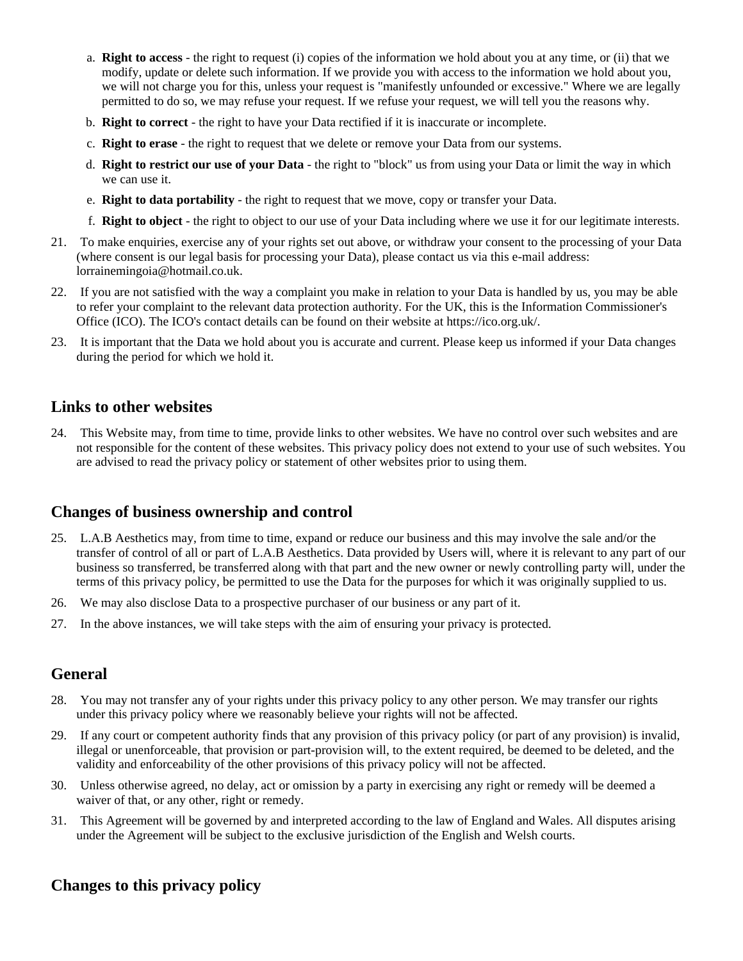- a. **Right to access** the right to request (i) copies of the information we hold about you at any time, or (ii) that we modify, update or delete such information. If we provide you with access to the information we hold about you, we will not charge you for this, unless your request is "manifestly unfounded or excessive." Where we are legally permitted to do so, we may refuse your request. If we refuse your request, we will tell you the reasons why.
- b. **Right to correct** the right to have your Data rectified if it is inaccurate or incomplete.
- c. **Right to erase** the right to request that we delete or remove your Data from our systems.
- d. **Right to restrict our use of your Data** the right to "block" us from using your Data or limit the way in which we can use it.
- e. **Right to data portability** the right to request that we move, copy or transfer your Data.
- f. **Right to object** the right to object to our use of your Data including where we use it for our legitimate interests.
- 21. To make enquiries, exercise any of your rights set out above, or withdraw your consent to the processing of your Data (where consent is our legal basis for processing your Data), please contact us via this e-mail address: lorrainemingoia@hotmail.co.uk.
- 22. If you are not satisfied with the way a complaint you make in relation to your Data is handled by us, you may be able to refer your complaint to the relevant data protection authority. For the UK, this is the Information Commissioner's Office (ICO). The ICO's contact details can be found on their website at https://ico.org.uk/.
- 23. It is important that the Data we hold about you is accurate and current. Please keep us informed if your Data changes during the period for which we hold it.

#### **Links to other websites**

24. This Website may, from time to time, provide links to other websites. We have no control over such websites and are not responsible for the content of these websites. This privacy policy does not extend to your use of such websites. You are advised to read the privacy policy or statement of other websites prior to using them.

# **Changes of business ownership and control**

- 25. L.A.B Aesthetics may, from time to time, expand or reduce our business and this may involve the sale and/or the transfer of control of all or part of L.A.B Aesthetics. Data provided by Users will, where it is relevant to any part of our business so transferred, be transferred along with that part and the new owner or newly controlling party will, under the terms of this privacy policy, be permitted to use the Data for the purposes for which it was originally supplied to us.
- 26. We may also disclose Data to a prospective purchaser of our business or any part of it.
- 27. In the above instances, we will take steps with the aim of ensuring your privacy is protected.

# **General**

- 28. You may not transfer any of your rights under this privacy policy to any other person. We may transfer our rights under this privacy policy where we reasonably believe your rights will not be affected.
- 29. If any court or competent authority finds that any provision of this privacy policy (or part of any provision) is invalid, illegal or unenforceable, that provision or part-provision will, to the extent required, be deemed to be deleted, and the validity and enforceability of the other provisions of this privacy policy will not be affected.
- 30. Unless otherwise agreed, no delay, act or omission by a party in exercising any right or remedy will be deemed a waiver of that, or any other, right or remedy.
- 31. This Agreement will be governed by and interpreted according to the law of England and Wales. All disputes arising under the Agreement will be subject to the exclusive jurisdiction of the English and Welsh courts.

# **Changes to this privacy policy**